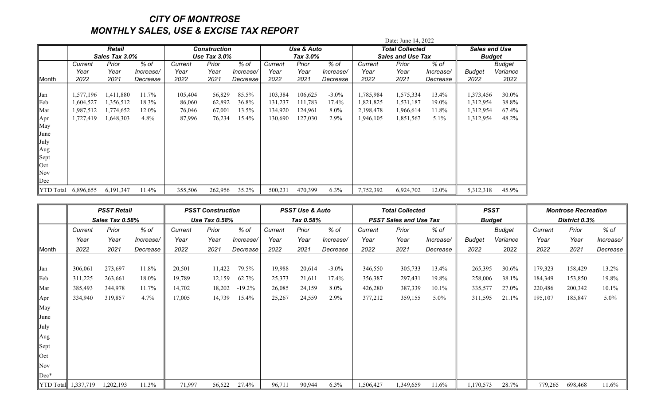## CITY OF MONTROSE MONTHLY SALES, USE & EXCISE TAX REPORT

|                  |                            |                |           |                                        | Date: June 14, 2022 |           |          |            |           |           |                          |                      |               |          |  |
|------------------|----------------------------|----------------|-----------|----------------------------------------|---------------------|-----------|----------|------------|-----------|-----------|--------------------------|----------------------|---------------|----------|--|
|                  |                            | Retail         |           | <b>Construction</b><br>Use Tax $3.0\%$ |                     |           |          | Use & Auto |           |           | Total Collected          | <b>Sales and Use</b> |               |          |  |
|                  |                            | Sales Tax 3.0% |           |                                        |                     |           | Tax 3.0% |            |           |           | <b>Sales and Use Tax</b> | <b>Budget</b>        |               |          |  |
|                  | $%$ of<br>Prior<br>Current |                |           | Prior<br>Current                       |                     | % of      | Current  | Prior      | $%$ of    | Current   | Prior                    | $%$ of               |               | Budget   |  |
|                  | Year                       | Year           | Increase/ | Year                                   | Year                | Increase/ | Year     | Year       | Increase/ | Year      | Year                     | Increase/            | <b>Budget</b> | Variance |  |
| Month            | 2022                       | 2021           | Decrease  | 2022                                   | 2021                | Decrease  | 2022     | 2021       | Decrease  | 2022      | 2021                     | Decrease             | 2022          | 2022     |  |
|                  |                            |                |           |                                        |                     |           |          |            |           |           |                          |                      |               |          |  |
| Jan              | 1,577,196                  | 1,411,880      | 11.7%     | 105,404                                | 56,829              | 85.5%     | 103,384  | 106,625    | $-3.0\%$  | 1,785,984 | 1,575,334                | 13.4%                | 1,373,456     | 30.0%    |  |
| Feb              | 1,604,527                  | 1,356,512      | 18.3%     | 86,060                                 | 62,892              | 36.8%     | 131,237  | 111,783    | 17.4%     | 1,821,825 | 1,531,187                | 19.0%                | 1,312,954     | 38.8%    |  |
| Mar              | 1,987,512                  | 1,774,652      | 12.0%     | 76,046                                 | 67,001              | 13.5%     | 134,920  | 124,961    | $8.0\%$   | 2,198,478 | 1,966,614                | 11.8%                | 1,312,954     | 67.4%    |  |
| Apr              | 1,727,419                  | 1,648,303      | 4.8%      | 87,996                                 | 76,234              | 15.4%     | 130,690  | 127,030    | $2.9\%$   | 1,946,105 | 1,851,567                | $5.1\%$              | 1,312,954     | 48.2%    |  |
| May              |                            |                |           |                                        |                     |           |          |            |           |           |                          |                      |               |          |  |
| June             |                            |                |           |                                        |                     |           |          |            |           |           |                          |                      |               |          |  |
| July             |                            |                |           |                                        |                     |           |          |            |           |           |                          |                      |               |          |  |
| Aug              |                            |                |           |                                        |                     |           |          |            |           |           |                          |                      |               |          |  |
| Sept             |                            |                |           |                                        |                     |           |          |            |           |           |                          |                      |               |          |  |
| Oct              |                            |                |           |                                        |                     |           |          |            |           |           |                          |                      |               |          |  |
| Nov              |                            |                |           |                                        |                     |           |          |            |           |           |                          |                      |               |          |  |
| Dec              |                            |                |           |                                        |                     |           |          |            |           |           |                          |                      |               |          |  |
| <b>YTD</b> Total | 6,896,655                  | 6,191,347      | 11.4%     | 355,506                                | 262,956             | 35.2%     | 500,231  | 470,399    | $6.3\%$   | 7,752,392 | 6,924,702                | 12.0%                | 5,312,318     | 45.9%    |  |

|             | <b>PSST Retail</b><br>Sales Tax 0.58% |           |                          | <b>PSST Construction</b><br><b>Use Tax 0.58%</b> |                  |           | <b>PSST Use &amp; Auto</b><br>Tax 0.58% |         |           | <b>Total Collected</b><br><b>PSST Sales and Use Tax</b> |               |           | <b>PSST</b><br><b>Budget</b> |          | <b>Montrose Recreation</b><br>District 0.3% |         |           |
|-------------|---------------------------------------|-----------|--------------------------|--------------------------------------------------|------------------|-----------|-----------------------------------------|---------|-----------|---------------------------------------------------------|---------------|-----------|------------------------------|----------|---------------------------------------------|---------|-----------|
|             |                                       |           |                          |                                                  |                  |           |                                         |         |           |                                                         |               |           |                              |          |                                             |         |           |
|             | Prior<br>% of<br>Current              |           | % of<br>Prior<br>Current |                                                  | Prior<br>Current |           | % of                                    | Current | Prior     | % of                                                    | <b>Budget</b> |           | Current                      | Prior    | % of                                        |         |           |
|             | Year                                  | Year      | Increase/                | Year                                             | Year             | Increase/ | Year                                    | Year    | Increase/ | Year                                                    | Year          | Increase/ | <b>Budget</b>                | Variance | Year                                        | Year    | Increase/ |
| ∥Month      | 2022                                  | 2021      | Decrease                 | 2022                                             | 2021             | Decrease  | 2022                                    | 2021    | Decrease  | 2022                                                    | 2021          | Decrease  | 2022                         | 2022     | 2022                                        | 2021    | Decrease  |
|             |                                       |           |                          |                                                  |                  |           |                                         |         |           |                                                         |               |           |                              |          |                                             |         |           |
| <b>Jan</b>  | 306,061                               | 273,697   | 11.8%                    | 20,501                                           | 11,422           | 79.5%     | 19,988                                  | 20,614  | $-3.0\%$  | 346,550                                                 | 305,733       | 13.4%     | 265,395                      | 30.6%    | 179,323                                     | 158,429 | 13.2%     |
| Feb         | 311,225                               | 263,661   | 18.0%                    | 19,789                                           | 12,159           | 62.7%     | 25,373                                  | 21,611  | 17.4%     | 356,387                                                 | 297,431       | 19.8%     | 258,006                      | 38.1%    | 184,349                                     | 153,850 | 19.8%     |
| Mar         | 385,493                               | 344,978   | 11.7%                    | 14,702                                           | 18,202           | $-19.2%$  | 26,085                                  | 24,159  | $8.0\%$   | 426,280                                                 | 387,339       | 10.1%     | 335,577                      | 27.0%    | 220,486                                     | 200,342 | $10.1\%$  |
| Apr         | 334,940                               | 319,857   | 4.7%                     | 17,005                                           | 14,739           | 15.4%     | 25,267                                  | 24,559  | 2.9%      | 377,212                                                 | 359,155       | $5.0\%$   | 311,595                      | 21.1%    | 195,107                                     | 185,847 | $5.0\%$   |
| May         |                                       |           |                          |                                                  |                  |           |                                         |         |           |                                                         |               |           |                              |          |                                             |         |           |
| June        |                                       |           |                          |                                                  |                  |           |                                         |         |           |                                                         |               |           |                              |          |                                             |         |           |
| July        |                                       |           |                          |                                                  |                  |           |                                         |         |           |                                                         |               |           |                              |          |                                             |         |           |
| Aug         |                                       |           |                          |                                                  |                  |           |                                         |         |           |                                                         |               |           |                              |          |                                             |         |           |
| Sept        |                                       |           |                          |                                                  |                  |           |                                         |         |           |                                                         |               |           |                              |          |                                             |         |           |
| $\vert$ Oct |                                       |           |                          |                                                  |                  |           |                                         |         |           |                                                         |               |           |                              |          |                                             |         |           |
| Nov         |                                       |           |                          |                                                  |                  |           |                                         |         |           |                                                         |               |           |                              |          |                                             |         |           |
| $Dec*$      |                                       |           |                          |                                                  |                  |           |                                         |         |           |                                                         |               |           |                              |          |                                             |         |           |
|             | $\ $ YTD Total $\ $ 1,337,719         | 1,202,193 | 11.3%                    | 71,997                                           | 56,522           | 27.4%     | 96,711                                  | 90,944  | $6.3\%$   | 1,506,427                                               | 1,349,659     | 11.6%     | 1,170,573                    | 28.7%    | 779,265                                     | 698,468 | 11.6%     |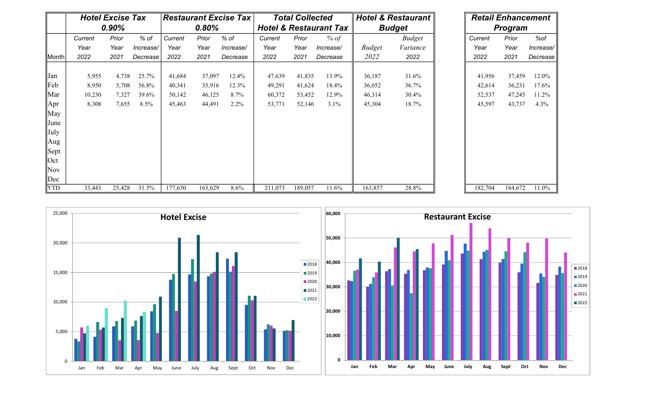|                               |         | <b>Hotel Excise Tax</b> |           |         |         | <b>Restaurant Excise Tax</b> | <b>Total Collected</b>            |         |           |               | <b>Hotel &amp; Restaurant</b> | <b>Retail Enhancement</b> |                |         |           |  |
|-------------------------------|---------|-------------------------|-----------|---------|---------|------------------------------|-----------------------------------|---------|-----------|---------------|-------------------------------|---------------------------|----------------|---------|-----------|--|
|                               |         | 0.90%                   |           | 0.80%   |         |                              | <b>Hotel &amp; Restaurant Tax</b> |         |           |               | <b>Budget</b>                 |                           | <b>Program</b> |         |           |  |
|                               | Current | Prior                   | % of      | Current | Prior   | % of                         | Current                           | Prior   | % of      |               | <b>Budget</b>                 |                           | Current        | Prior   | %of       |  |
|                               | Year    | Year                    | Increase/ | Year    | Year    | Increase/                    | Year                              | Year    | Increase/ | <b>Budget</b> | Variance                      |                           | Year           | Year    | Increase/ |  |
| ∥Month                        | 2022    | 2021                    | Decrease  | 2022    | 2021    | Decrease                     | 2022                              | 2021    | Decrease  | 2022          | 2022                          |                           | 2022           | 2021    | Decrease  |  |
|                               |         |                         |           |         |         |                              |                                   |         |           |               |                               |                           |                |         |           |  |
| Jan                           | 5,955   | 4,738                   | 25.7%     | 41,684  | 37,097  | 12.4%                        | 47,639                            | 41,835  | 13.9%     | 36,187        | 31.6%                         |                           | 41,956         | 37,459  | 12.0%     |  |
| $\parallel$ Feb               | 8,950   | 5,708                   | 56.8%     | 40,341  | 35,916  | 12.3%                        | 49,291                            | 41,624  | 18.4%     | 36,052        | 36.7%                         |                           | 42,614         | 36,231  | 17.6%     |  |
| ∥Mar                          | 10,230  | 7,327                   | 39.6%     | 50,142  | 46,125  | 8.7%                         | 60,372                            | 53,452  | 12.9%     | 46,314        | 30.4%                         |                           | 52,537         | 47,245  | 11.2%     |  |
| $\parallel$ Apr               | 8,308   | 7,655                   | 8.5%      | 45,463  | 44,491  | 2.2%                         | 53,771                            | 52,146  | 3.1%      | 45,304        | 18.7%                         |                           | 45,597         | 43,737  | 4.3%      |  |
| May                           |         |                         |           |         |         |                              |                                   |         |           |               |                               |                           |                |         |           |  |
| June                          |         |                         |           |         |         |                              |                                   |         |           |               |                               |                           |                |         |           |  |
| July                          |         |                         |           |         |         |                              |                                   |         |           |               |                               |                           |                |         |           |  |
| Aug                           |         |                         |           |         |         |                              |                                   |         |           |               |                               |                           |                |         |           |  |
| $\left\  \text{Sept}\right\ $ |         |                         |           |         |         |                              |                                   |         |           |               |                               |                           |                |         |           |  |
| $\vert$ Oct                   |         |                         |           |         |         |                              |                                   |         |           |               |                               |                           |                |         |           |  |
| $\ Nov$                       |         |                         |           |         |         |                              |                                   |         |           |               |                               |                           |                |         |           |  |
| $\ $ Dec                      |         |                         |           |         |         |                              |                                   |         |           |               |                               |                           |                |         |           |  |
| $\ $ YTD                      | 33,443  | 25,428                  | 31.5%     | 177,630 | 163,629 | $8.6\%$                      | 211,073                           | 189,057 | 11.6%     | 163,857       | 28.8%                         |                           | 182,704        | 164,672 | $11.0\%$  |  |

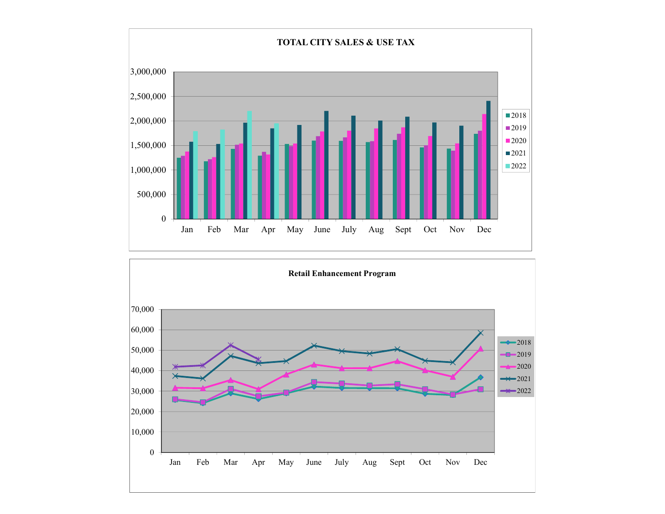